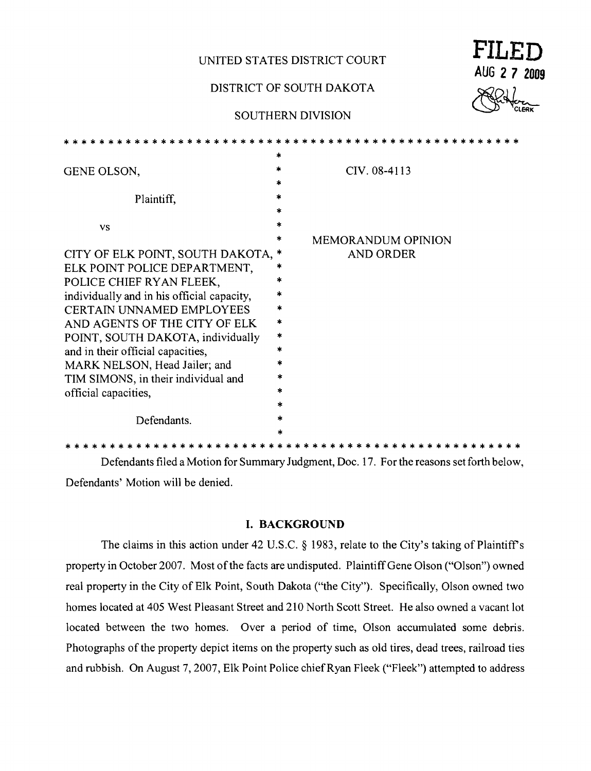**UNITED STATES DISTRICT COURT** 

# DISTRICT OF SOUTH DAKOTA

## SOUTHERN DIVISION

| FILED        |      |  |
|--------------|------|--|
| AUG 2 7 2009 |      |  |
| U            | Rite |  |

|                                            | $\ast$  |                           |
|--------------------------------------------|---------|---------------------------|
| GENE OLSON,                                | *       | CIV. 08-4113              |
|                                            | *       |                           |
| Plaintiff,                                 | $\ast$  |                           |
|                                            | *       |                           |
| <b>VS</b>                                  | $\star$ |                           |
|                                            | *       | <b>MEMORANDUM OPINION</b> |
| CITY OF ELK POINT, SOUTH DAKOTA,           | *       | <b>AND ORDER</b>          |
| ELK POINT POLICE DEPARTMENT,               | ×.      |                           |
| POLICE CHIEF RYAN FLEEK,                   |         |                           |
| individually and in his official capacity, | *       |                           |
| <b>CERTAIN UNNAMED EMPLOYEES</b>           | *       |                           |
| AND AGENTS OF THE CITY OF ELK              | $\ast$  |                           |
| POINT, SOUTH DAKOTA, individually          | *       |                           |
| and in their official capacities,          | $\ast$  |                           |
| MARK NELSON, Head Jailer; and              | *       |                           |
|                                            | *       |                           |
| TIM SIMONS, in their individual and        | ×       |                           |
| official capacities,                       | *       |                           |
|                                            | $\ast$  |                           |
| Defendants.                                |         |                           |
|                                            |         |                           |

\* \* \* \* \* \* \* \* \* \* \* \* \* \* \* \* \* \* \* \* \* \* \* \* \* \* \* \* \* \* \* \* \* \* \* \* \* \* \* \* \* \* \* \* \* \* \* \* \* \* \* \* Defendants filed a Motion for Summary Judgment, Doc. 17. For the reasons set forth below, Defendants' Motion will be denied.

### **I. BACKGROUND**

The claims in this action under 42 U.S.C. § 1983, relate to the City's taking of Plaintiff's property in October 2007. Most of the facts are undisputed. Plaintiff Gene Olson ("Olson") owned real property in the City of Elk Point, South Dakota ("the City"). Specifically, Olson owned two homes located at 405 West Pleasant Street and 210 North Scott Street. He also owned a vacant lot located between the two homes. Over a period of time, Olson accumulated some debris. Photographs of the property depict items on the property such as old tires, dead trees, railroad ties and rubbish. On August 7, 2007, Elk Point Police chief Ryan Fleek ("Fleek") attempted to address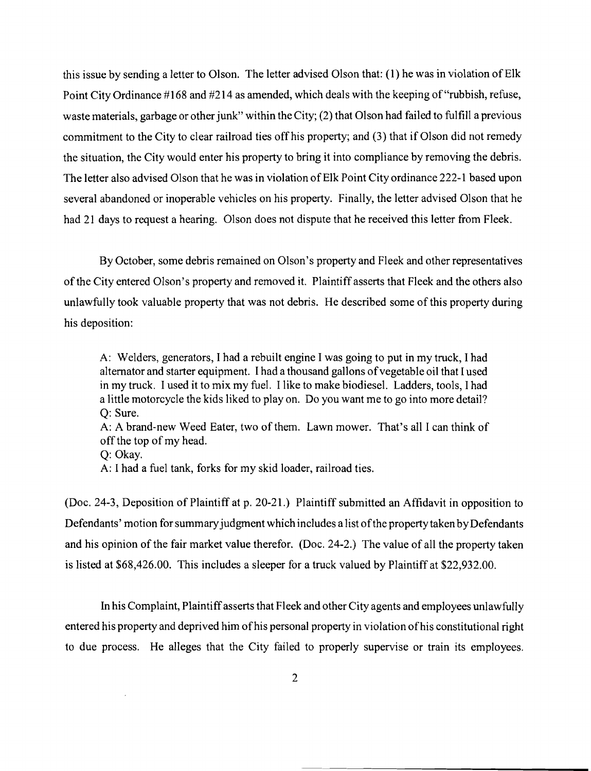this issue by sending a letter to Olson. The letter advised Olson that: (1) he was in violation of Elk Point City Ordinance #168 and #214 as amended, which deals with the keeping of "rubbish, refuse, waste materials, garbage or other junk" within the City; (2) that Olson had failed to fulfill a previous commitment to the City to clear railroad ties offhis property; and (3) that if Olson did not remedy the situation, the City would enter his property to bring it into compliance by removing the debris. The letter also advised Olson that he was in violation of Elk Point City ordinance 222-1 based upon several abandoned or inoperable vehicles on his property. Finally, the letter advised Olson that he had 21 days to request a hearing. Olson does not dispute that he received this letter from Fleek.

By October, some debris remained on Olson's property and Fleek and other representatives ofthe City entered Olson's property and removed it. Plaintiff asserts that Fleek and the others also unlawfully took valuable property that was not debris. He described some of this property during his deposition:

A: Welders, generators, I had a rebuilt engine I was going to put in my truck, I had alternator and starter equipment. I had a thousand gallons ofvegetable oil that I used in my truck. I used it to mix my fuel. I like to make biodiesel. Ladders, tools, I had a little motorcycle the kids liked to play on. Do you want me to go into more detail? Q: Sure.

A: A brand-new Weed Eater, two of them. Lawn mower. That's all I can think of offthe top of my head.

Q: Okay.

A: I had a fuel tank, forks for my skid loader, railroad ties.

(Doc. 24-3, Deposition of Plaintiff at p. 20-21.) Plaintiff submitted an Affidavit in opposition to Defendants' motion for summary judgment which includes a list of the property taken by Defendants and his opinion of the fair market value therefor. (Doc. 24-2.) The value of all the property taken is listed at \$68,426.00. This includes a sleeper for a truck valued by Plaintiff at \$22,932.00.

In his Complaint, Plaintiff asserts that Fleek and other City agents and employees unlawfully entered his property and deprived him of his personal property in violation of his constitutional right to due process. He alleges that the City failed to properly supervise or train its employees.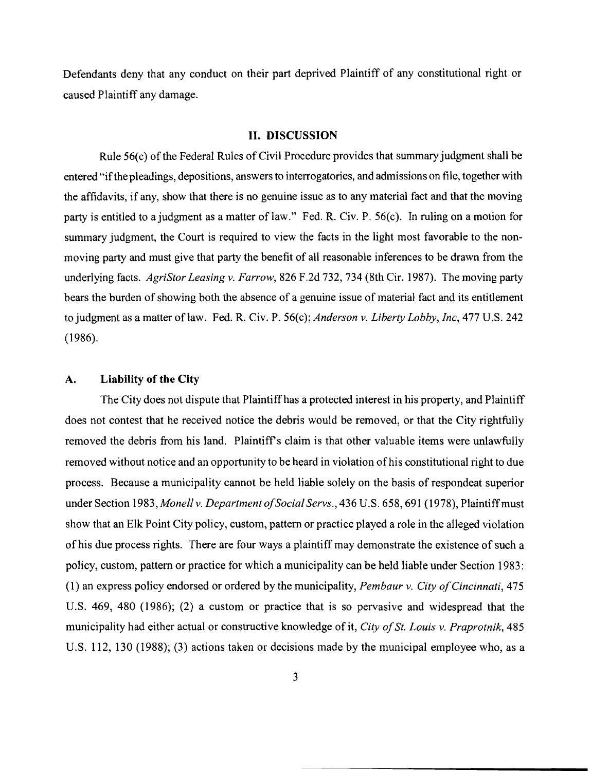Defendants deny that any conduct on their part deprived Plaintiff of any constitutional right or caused Plaintiff any damage.

### **II. DISCUSSION**

Rule 56(c) of the Federal Rules of Civil Procedure provides that summary judgment shall be entered "ifthe pleadings, depositions, answers to interrogatories, and admissions on file, together with the affidavits, if any, show that there is no genuine issue as to any material fact and that the moving party is entitled to a judgment as a matter of law." Fed. R. Civ. P. 56(c). In ruling on a motion for summary judgment, the Court is required to view the facts in the light most favorable to the nonmoving party and must give that party the benefit of all reasonable inferences to be drawn from the underlying facts. *AgriStor Leasing* v. *Farrow,* 826 F.2d 732, 734 (8th Cir. 1987). The moving party bears the burden of showing both the absence of a genuine issue of material fact and its entitlement to judgment as a matter oflaw. Fed. R. Civ. P. 56(c); *Anderson* v. *Liberty Lobby, Inc,* 477 U.S. 242 (1986).

#### **A. Liability of the City**

The City does not dispute that Plaintiffhas a protected interest in his property, and Plaintiff does not contest that he received notice the debris would be removed, or that the City rightfully removed the debris from his land. Plaintiffs claim is that other valuable items were unlawfully removed without notice and an opportunity to be heard in violation ofhis constitutional right to due process. Because a municipality cannot be held liable solely on the basis of respondeat superior under Section 1983, Monell v. Department of Social Servs., 436 U.S. 658, 691 (1978), Plaintiff must show that an Elk Point City policy, custom, pattern or practice played a role in the alleged violation of his due process rights. There are four ways a plaintiff may demonstrate the existence of such a policy, custom, pattern or practice for which a municipality can be held liable under Section 1983: (1) an express policy endorsed or ordered by the municipality, *Pembaur* v. *City o/Cincinnati, 475*  U.S. 469, 480 (1986); (2) a custom or practice that is so pervasive and widespread that the municipality had either actual or constructive knowledge of it, *City of St. Louis v. Praprotnik*, 485 U.S. 112, 130 (1988); (3) actions taken or decisions made by the municipal employee who, as a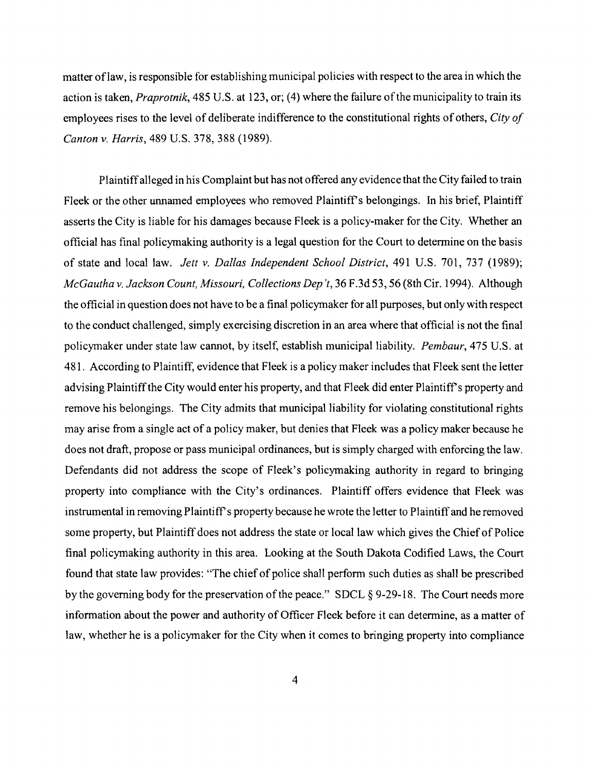matter oflaw, is responsible for establishing municipal policies with respect to the area in which the action is taken, *Praprotnik,* 485 U.S. at 123, or; (4) where the failure ofthe municipality to train its employees rises to the level of deliberate indifference to the constitutional rights of others, *City of Canton* v. *Harris,* 489 U.S. 378, 388 (1989).

Plaintiffalleged in his Complaint but has not offered any evidence that the City failed to train Fleek or the other unnamed employees who removed Plaintiff's belongings. In his brief, Plaintiff asserts the City is liable for his damages because Fleek is a policy-maker for the City. Whether an official has final policymaking authority is a legal question for the Court to determine on the basis of state and local law. *Jett* v. *Dallas Independent School District,* 491 U.S. 701,737 (1989); *McGautha* v. *Jackson Count, Missouri, Collections Dep 't,* 36 F.3d 53, 56 (8th Cir. 1994). Although the official in question does not have to be a final policymaker for all purposes, but only with respect to the conduct challenged, simply exercising discretion in an area where that official is not the final policymaker under state law cannot, by itself, establish municipal liability. *Pembaur,* 475 U.S. at 481. According to Plaintiff, evidence that Fleek is a policy maker includes that Fleek sent the letter advising Plaintiff the City would enter his property, and that Fleek did enter Plaintiff's property and remove his belongings. The City admits that municipal liability for violating constitutional rights may arise from a single act of a policy maker, but denies that Fleek was a policy maker because he does not draft, propose or pass municipal ordinances, but is simply charged with enforcing the law. Defendants did not address the scope of Fleek's policymaking authority in regard to bringing property into compliance with the City's ordinances. Plaintiff offers evidence that Fleek was instrumental in removing Plaintiff's property because he wrote the letter to Plaintiff and he removed some property, but Plaintiff does not address the state or local law which gives the Chief of Police final policymaking authority in this area. Looking at the South Dakota Codified Laws, the Court found that state law provides: "The chief of police shall perform such duties as shall be prescribed by the governing body for the preservation of the peace." SDCL  $\S 9-29-18$ . The Court needs more information about the power and authority of Officer Fleek before it can determine, as a matter of law, whether he is a policymaker for the City when it comes to bringing property into compliance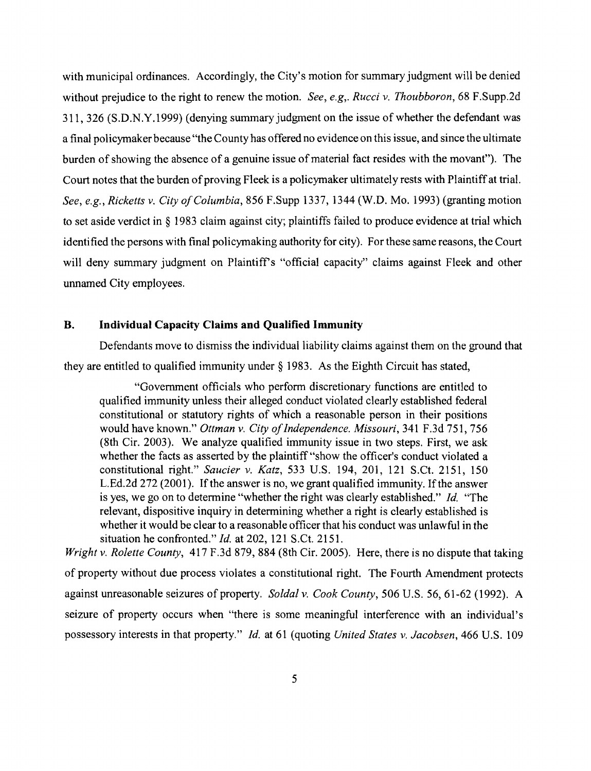with municipal ordinances. Accordingly, the City's motion for summary judgment will be denied without prejudice to the right to renew the motion. *See, e.g,. Rucci* v. *Thoubboron,* 68 F.Supp.2d 311,326 (S.D.N.Y.1999) (denying summary judgment on the issue of whether the defendant was a final policymaker because "the County has offered no evidence on this issue, and since the ultimate burden of showing the absence of a genuine issue of material fact resides with the movant"). The Court notes that the burden of proving Fleek is a policymaker ultimately rests with Plaintiff at trial. See, e.g., Ricketts v. *City of Columbia*, 856 F.Supp 1337, 1344 (W.D. Mo. 1993) (granting motion to set aside verdict in § 1983 claim against city; plaintiffs failed to produce evidence at trial which identified the persons with final policymaking authority for city). For these same reasons, the Court will deny summary judgment on Plaintiff's "official capacity" claims against Fleek and other unnamed City employees.

### **B. Individual Capacity Claims and Qualified Immunity**

Defendants move to dismiss the individual liability claims against them on the ground that they are entitled to qualified immunity under § 1983. As the Eighth Circuit has stated,

"Government officials who perform discretionary functions are entitled to qualified immunity unless their alleged conduct violated clearly established federal constitutional or statutory rights of which a reasonable person in their positions would have known." *Ottman* v. *City ofIndependence. Missouri,* 341 F.3d 751, 756 (8th Cir. 2003). We analyze qualified immunity issue in two steps. First, we ask whether the facts as asserted by the plaintiff "show the officer's conduct violated a constitutional right." *Saucier* v. *Katz,* 533 U.S. 194, 201, 121 S.Ct. 2151, 150 L.Ed.2d 272 (2001). If the answer is no, we grant qualified immunity. If the answer is yes, we go on to determine "whether the right was clearly established." *Id.* "The relevant, dispositive inquiry in determining whether a right is clearly established is whether it would be clear to a reasonable officer that his conduct was unlawful in the situation he confronted." *Id.* at 202,121 S.Ct. 2151.

*Wright* v. *Rolette County,* 417 F.3d 879,884 (8th Cir. 2005). Here, there is no dispute that taking of property without due process violates a constitutional right. The Fourth Amendment protects against unreasonable seizures of property. *Soldal* v. *Cook County,* 506 U.S. 56,61-62 (1992). A seizure of property occurs when "there is some meaningful interference with an individual's possessory interests in that property." *Id.* at 61 (quoting *United States* v. *Jacobsen,* 466 U.S. 109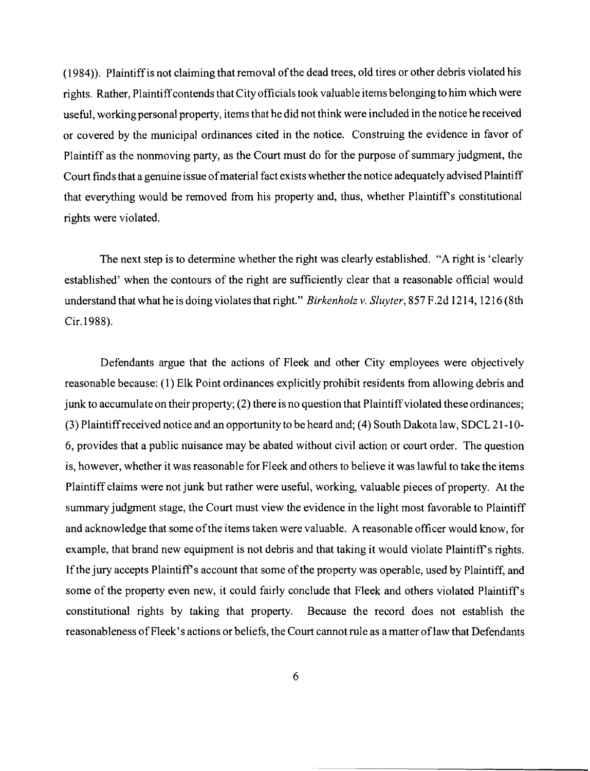(1984)). Plaintiff is not claiming that removal of the dead trees, old tires or other debris violated his rights. Rather, Plaintiffcontends that City officials took valuable items belonging to him which were useful, working personal property, items that he did not think were included in the notice he received or covered by the municipal ordinances cited in the notice. Construing the evidence in favor of Plaintiff as the nonmoving party, as the Court must do for the purpose of summary judgment, the Court finds that a genuine issue ofmaterial fact exists whether the notice adequately advised Plaintiff that everything would be removed from his property and, thus, whether Plaintiff's constitutional rights were violated.

The next step is to determine whether the right was clearly established. "A right is 'clearly established' when the contours of the right are sufficiently clear that a reasonable official would understand that what he is doing violates that right." *Birkenholz* v. *Sluyter,* 857 F.2d 1214, 1216 (8th Cir.1988).

Defendants argue that the actions of Fleek and other City employees were objectively reasonable because: (1) Elk Point ordinances explicitly prohibit residents from allowing debris and junk to accumulate on their property; (2) there is no question that Plaintiff violated these ordinances; (3) Plaintiffreceived notice and an opportunity to be heard and; (4) South Dakota law, SDCL 21-1 0 6, provides that a public nuisance may be abated without civil action or court order. The question is, however, whether it was reasonable for Fleek and others to believe it was lawful to take the items Plaintiff claims were not junk but rather were useful, working, valuable pieces of property. At the summary judgment stage, the Court must view the evidence in the light most favorable to Plaintiff and acknowledge that some ofthe items taken were valuable. A reasonable officer would know, for example, that brand new equipment is not debris and that taking it would violate Plaintiff's rights. If the jury accepts Plaintiff's account that some of the property was operable, used by Plaintiff, and some of the property even new, it could fairly conclude that Fleek and others violated Plaintiff's constitutional rights by taking that property. Because the record does not establish the reasonableness of Fleek's actions or beliefs, the Court cannot rule as a matter of law that Defendants